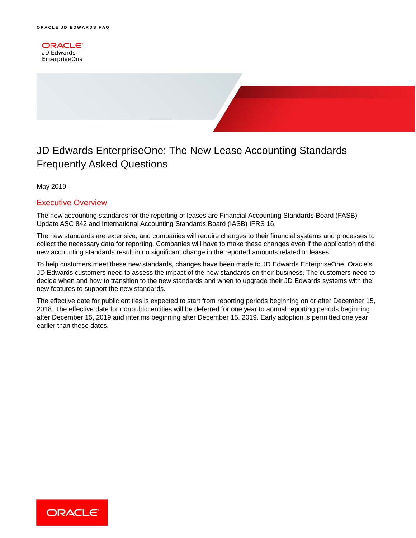**ORACLE JD Edwards** EnterpriseOne



May 2019

## Executive Overview

The new accounting standards for the reporting of leases are Financial Accounting Standards Board (FASB) Update ASC 842 and International Accounting Standards Board (IASB) IFRS 16.

The new standards are extensive, and companies will require changes to their financial systems and processes to collect the necessary data for reporting. Companies will have to make these changes even if the application of the new accounting standards result in no significant change in the reported amounts related to leases.

To help customers meet these new standards, changes have been made to JD Edwards EnterpriseOne. Oracle's JD Edwards customers need to assess the impact of the new standards on their business. The customers need to decide when and how to transition to the new standards and when to upgrade their JD Edwards systems with the new features to support the new standards.

The effective date for public entities is expected to start from reporting periods beginning on or after December 15, 2018. The effective date for nonpublic entities will be deferred for one year to annual reporting periods beginning after December 15, 2019 and interims beginning after December 15, 2019. Early adoption is permitted one year earlier than these dates.

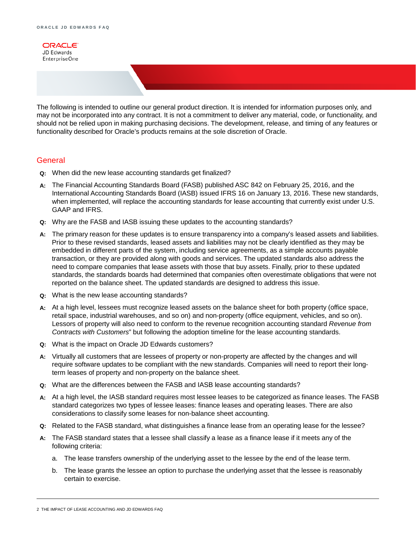

The following is intended to outline our general product direction. It is intended for information purposes only, and may not be incorporated into any contract. It is not a commitment to deliver any material, code, or functionality, and should not be relied upon in making purchasing decisions. The development, release, and timing of any features or functionality described for Oracle's products remains at the sole discretion of Oracle.

## **General**

- **Q:** When did the new lease accounting standards get finalized?
- **A:** The Financial Accounting Standards Board (FASB) published ASC 842 on February 25, 2016, and the International Accounting Standards Board (IASB) issued IFRS 16 on January 13, 2016. These new standards, when implemented, will replace the accounting standards for lease accounting that currently exist under U.S. GAAP and IFRS.
- **Q:** Why are the FASB and IASB issuing these updates to the accounting standards?
- **A:** The primary reason for these updates is to ensure transparency into a company's leased assets and liabilities. Prior to these revised standards, leased assets and liabilities may not be clearly identified as they may be embedded in different parts of the system, including service agreements, as a simple accounts payable transaction, or they are provided along with goods and services. The updated standards also address the need to compare companies that lease assets with those that buy assets. Finally, prior to these updated standards, the standards boards had determined that companies often overestimate obligations that were not reported on the balance sheet. The updated standards are designed to address this issue.
- **Q:** What is the new lease accounting standards?
- **A:** At a high level, lessees must recognize leased assets on the balance sheet for both property (office space, retail space, industrial warehouses, and so on) and non-property (office equipment, vehicles, and so on). Lessors of property will also need to conform to the revenue recognition accounting standard *Revenue from Contracts with Customers*" but following the adoption timeline for the lease accounting standards.
- **Q:** What is the impact on Oracle JD Edwards customers?
- **A:** Virtually all customers that are lessees of property or non-property are affected by the changes and will require software updates to be compliant with the new standards. Companies will need to report their longterm leases of property and non-property on the balance sheet.
- **Q:** What are the differences between the FASB and IASB lease accounting standards?
- **A:** At a high level, the IASB standard requires most lessee leases to be categorized as finance leases. The FASB standard categorizes two types of lessee leases: finance leases and operating leases. There are also considerations to classify some leases for non-balance sheet accounting.
- **Q:** Related to the FASB standard, what distinguishes a finance lease from an operating lease for the lessee?
- **A:** The FASB standard states that a lessee shall classify a lease as a finance lease if it meets any of the following criteria:
	- a. The lease transfers ownership of the underlying asset to the lessee by the end of the lease term.
	- b. The lease grants the lessee an option to purchase the underlying asset that the lessee is reasonably certain to exercise.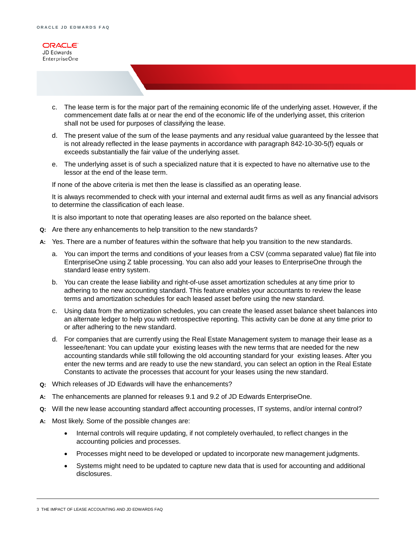

- c. The lease term is for the major part of the remaining economic life of the underlying asset. However, if the commencement date falls at or near the end of the economic life of the underlying asset, this criterion shall not be used for purposes of classifying the lease.
- d. The present value of the sum of the lease payments and any residual value guaranteed by the lessee that is not already reflected in the lease payments in accordance with paragraph 842-10-30-5(f) equals or exceeds substantially the fair value of the underlying asset.
- e. The underlying asset is of such a specialized nature that it is expected to have no alternative use to the lessor at the end of the lease term.

If none of the above criteria is met then the lease is classified as an operating lease.

It is always recommended to check with your internal and external audit firms as well as any financial advisors to determine the classification of each lease.

It is also important to note that operating leases are also reported on the balance sheet.

- **Q:** Are there any enhancements to help transition to the new standards?
- **A:** Yes. There are a number of features within the software that help you transition to the new standards.
	- a. You can import the terms and conditions of your leases from a CSV (comma separated value) flat file into EnterpriseOne using Z table processing. You can also add your leases to EnterpriseOne through the standard lease entry system.
	- b. You can create the lease liability and right-of-use asset amortization schedules at any time prior to adhering to the new accounting standard. This feature enables your accountants to review the lease terms and amortization schedules for each leased asset before using the new standard.
	- c. Using data from the amortization schedules, you can create the leased asset balance sheet balances into an alternate ledger to help you with retrospective reporting. This activity can be done at any time prior to or after adhering to the new standard.
	- d. For companies that are currently using the Real Estate Management system to manage their lease as a lessee/tenant: You can update your existing leases with the new terms that are needed for the new accounting standards while still following the old accounting standard for your existing leases. After you enter the new terms and are ready to use the new standard, you can select an option in the Real Estate Constants to activate the processes that account for your leases using the new standard.
- **Q:** Which releases of JD Edwards will have the enhancements?
- **A:** The enhancements are planned for releases 9.1 and 9.2 of JD Edwards EnterpriseOne.
- **Q:** Will the new lease accounting standard affect accounting processes, IT systems, and/or internal control?
- **A:** Most likely. Some of the possible changes are:
	- Internal controls will require updating, if not completely overhauled, to reflect changes in the accounting policies and processes.
	- Processes might need to be developed or updated to incorporate new management judgments.
	- Systems might need to be updated to capture new data that is used for accounting and additional disclosures.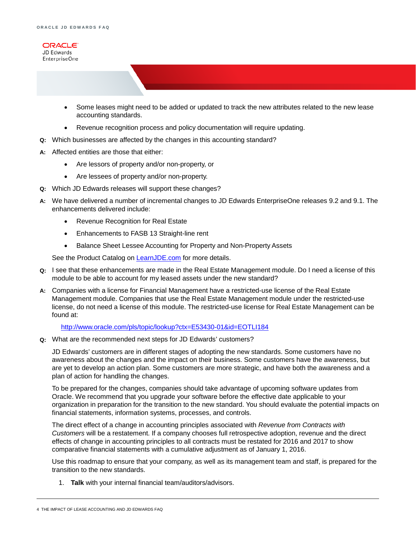

- Some leases might need to be added or updated to track the new attributes related to the new lease accounting standards.
- Revenue recognition process and policy documentation will require updating.
- **Q:** Which businesses are affected by the changes in this accounting standard?
- **A:** Affected entities are those that either:
	- Are lessors of property and/or non-property, or
	- Are lessees of property and/or non-property.
- **Q:** Which JD Edwards releases will support these changes?
- **A:** We have delivered a number of incremental changes to JD Edwards EnterpriseOne releases 9.2 and 9.1. The enhancements delivered include:
	- Revenue Recognition for Real Estate
	- Enhancements to FASB 13 Straight-line rent
	- Balance Sheet Lessee Accounting for Property and Non-Property Assets

See the Product Catalog on **[LearnJDE.com](https://apex.oracle.com/pls/apex/f?p=103254:66:1643307629461:::::)** for more details.

- **Q:** I see that these enhancements are made in the Real Estate Management module. Do I need a license of this module to be able to account for my leased assets under the new standard?
- **A:** Companies with a license for Financial Management have a restricted-use license of the Real Estate Management module. Companies that use the Real Estate Management module under the restricted-use license, do not need a license of this module. The restricted-use license for Real Estate Management can be found at:

<http://www.oracle.com/pls/topic/lookup?ctx=E53430-01&id=EOTLI184>

**Q:** What are the recommended next steps for JD Edwards' customers?

JD Edwards' customers are in different stages of adopting the new standards. Some customers have no awareness about the changes and the impact on their business. Some customers have the awareness, but are yet to develop an action plan. Some customers are more strategic, and have both the awareness and a plan of action for handling the changes.

To be prepared for the changes, companies should take advantage of upcoming software updates from Oracle. We recommend that you upgrade your software before the effective date applicable to your organization in preparation for the transition to the new standard. You should evaluate the potential impacts on financial statements, information systems, processes, and controls.

The direct effect of a change in accounting principles associated with *Revenue from Contracts with Customers* will be a restatement. If a company chooses full retrospective adoption, revenue and the direct effects of change in accounting principles to all contracts must be restated for 2016 and 2017 to show comparative financial statements with a cumulative adjustment as of January 1, 2016.

Use this roadmap to ensure that your company, as well as its management team and staff, is prepared for the transition to the new standards.

1. **Talk** with your internal financial team/auditors/advisors.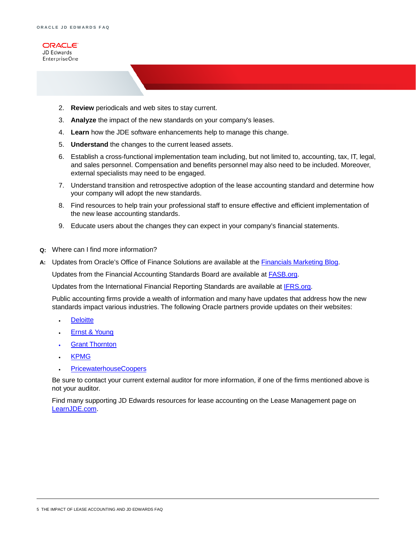

- 2. **Review** periodicals and web sites to stay current.
- 3. **Analyze** the impact of the new standards on your company's leases.
- 4. **Learn** how the JDE software enhancements help to manage this change.
- 5. **Understand** the changes to the current leased assets.
- 6. Establish a cross-functional implementation team including, but not limited to, accounting, tax, IT, legal, and sales personnel. Compensation and benefits personnel may also need to be included. Moreover, external specialists may need to be engaged.
- 7. Understand transition and retrospective adoption of the lease accounting standard and determine how your company will adopt the new standards.
- 8. Find resources to help train your professional staff to ensure effective and efficient implementation of the new lease accounting standards.
- 9. Educate users about the changes they can expect in your company's financial statements.
- **Q:** Where can I find more information?
- **A:** Updates from Oracle's Office of Finance Solutions are available at the [Financials Marketing Blog.](https://blogs.oracle.com/FinancialsMkting/entry/fasb_and_iasb_set_effective)

Updates from the Financial Accounting Standards Board are available at [FASB.org.](https://asc.fasb.org/imageRoot/00/51801400.pdf)

Updates from the International Financial Reporting Standards are available at [IFRS.org.](http://www.ifrs.org/)

Public accounting firms provide a wealth of information and many have updates that address how the new standards impact various industries. The following Oracle partners provide updates on their websites:

- [Deloitte](http://www2.deloitte.com/)
- **[Ernst & Young](http://www.ey.com/US/en/SearchResults?query=Revenue+Recognition&search_options=country_name)**
- **[Grant Thornton](https://www.grantthornton.com/solutions/lease-accounting.aspx)**
- [KPMG](http://www.kpmg.com/Global/en/IssuesAndInsights/ArticlesPublications/first-impressions/Documents/First-Impression-Revenue-2014.pdf)
- [PricewaterhouseCoopers](http://www.pwc.com/us/en/audit-assurance-services/accounting-advisory/revenue-recognition.jhtml)

Be sure to contact your current external auditor for more information, if one of the firms mentioned above is not your auditor.

Find many supporting JD Edwards resources for lease accounting on the Lease Management page on [LearnJDE.com.](https://docs.oracle.com/cd/E84502_01/learnjde/financial_management.html#lease-management)